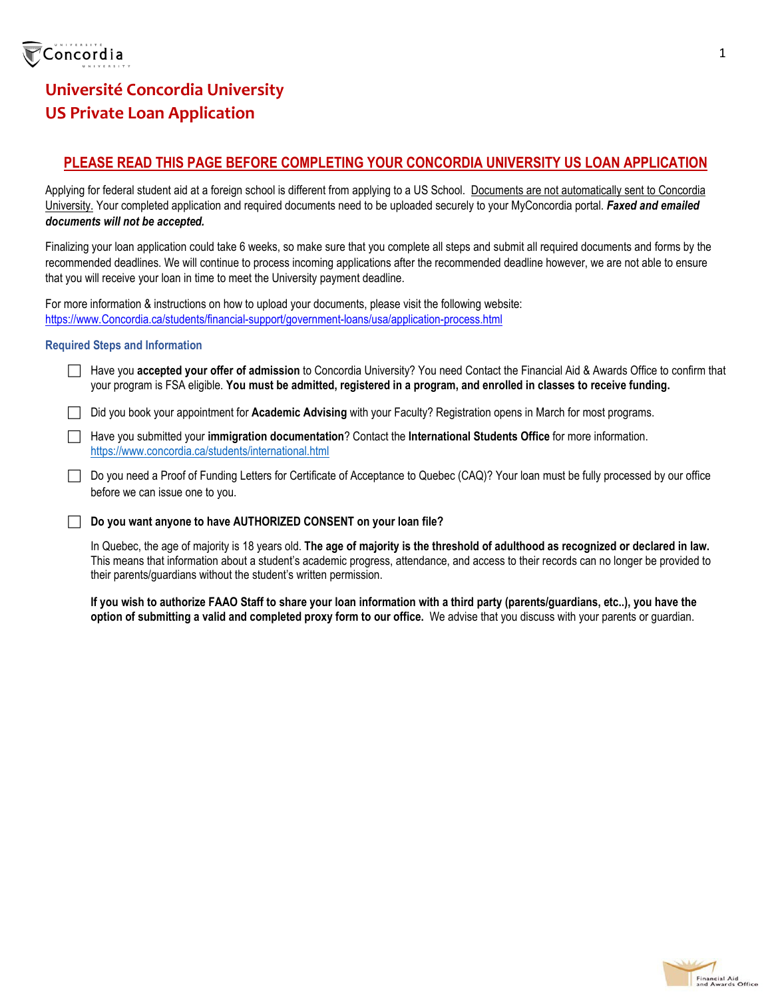

### **Université Concordia University US Private Loan Application**

#### **PLEASE READ THIS PAGE BEFORE COMPLETING YOUR CONCORDIA UNIVERSITY US LOAN APPLICATION**

Applying for federal student aid at a foreign school is different from applying to a US School. Documents are not automatically sent to Concordia University. Your completed application and required documents need to be uploaded securely to your MyConcordia portal. *Faxed and emailed documents will not be accepted.* 

Finalizing your loan application could take 6 weeks, so make sure that you complete all steps and submit all required documents and forms by the recommended deadlines. We will continue to process incoming applications after the recommended deadline however, we are not able to ensure that you will receive your loan in time to meet the University payment deadline.

For more information & instructions on how to upload your documents, please visit the following website: [https://www.Concordia.ca/students/financial-support/government-loans/usa/application-process.html](https://www.concordia.ca/students/financial-support/government-loans/usa/application-process.html)

#### **Required Steps and Information**

Have you **accepted your offer of admission** to Concordia University? You need Contact the Financial Aid & Awards Office to confirm that your program is FSA eligible. **You must be admitted, registered in a program, and enrolled in classes to receive funding.** 

Did you book your appointment for **Academic Advising** with your Faculty? Registration opens in March for most programs.

 Have you submitted your **immigration documentation**? Contact the **International Students Office** for more information. <https://www.concordia.ca/students/international.html>

Do you need a Proof of Funding Letters for Certificate of Acceptance to Quebec (CAQ)? Your loan must be fully processed by our office before we can issue one to you.

**Do you want anyone to have AUTHORIZED CONSENT on your loan file?** 

In Quebec, the age of majority is 18 years old. **The age of majority is the threshold of adulthood as recognized or declared in law.** This means that information about a student's academic progress, attendance, and access to their records can no longer be provided to their parents/guardians without the student's written permission.

**If you wish to authorize FAAO Staff to share your loan information with a third party (parents/guardians, etc..), you have the option of submitting a valid and completed proxy form to our office.** We advise that you discuss with your parents or guardian.



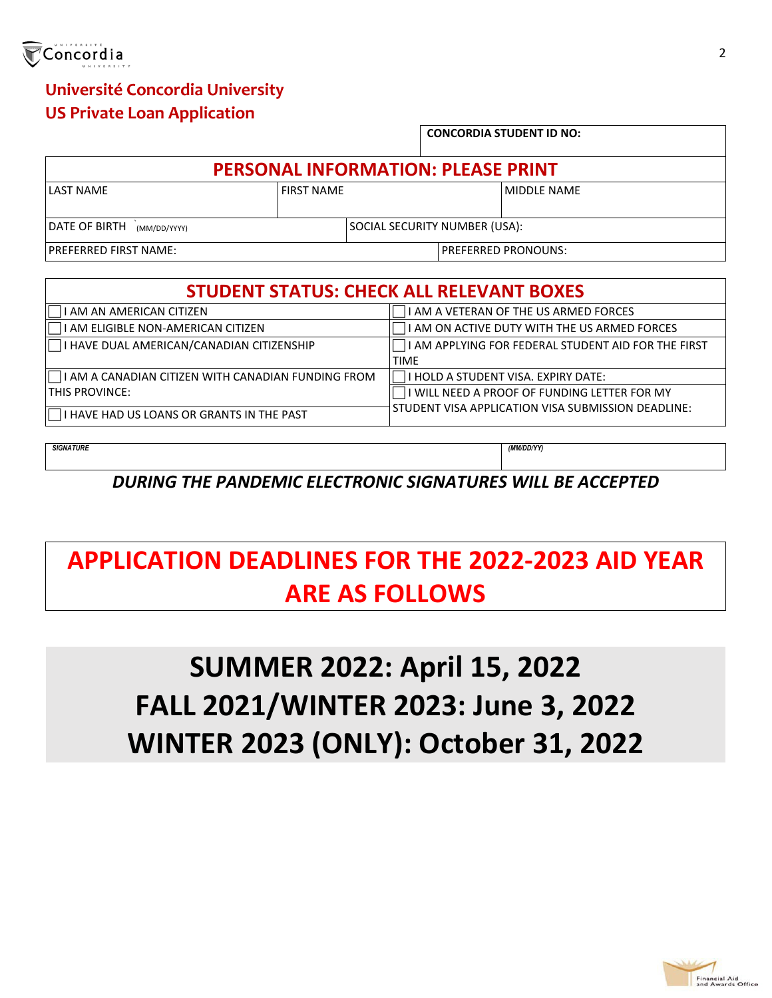

### **Université Concordia University US Private Loan Application**

|                                           |                   |                               |  | <b>CONCORDIA STUDENT ID NO:</b> |  |  |  |
|-------------------------------------------|-------------------|-------------------------------|--|---------------------------------|--|--|--|
| <b>PERSONAL INFORMATION: PLEASE PRINT</b> |                   |                               |  |                                 |  |  |  |
| LAST NAME                                 | <b>FIRST NAME</b> |                               |  | MIDDI F NAMF                    |  |  |  |
| DATE OF BIRTH (MM/DD/YYYY)                |                   | SOCIAL SECURITY NUMBER (USA): |  |                                 |  |  |  |
| <b>IPREFERRED FIRST NAME:</b>             |                   |                               |  | PREFERRED PRONOUNS:             |  |  |  |

| <b>STUDENT STATUS: CHECK ALL RELEVANT BOXES</b>  |                                                     |  |  |  |  |
|--------------------------------------------------|-----------------------------------------------------|--|--|--|--|
| AM AN AMERICAN CITIZEN                           | I AM A VETERAN OF THE US ARMED FORCES               |  |  |  |  |
| l I AM ELIGIBLE NON-AMERICAN CITIZEN             | I AM ON ACTIVE DUTY WITH THE US ARMED FORCES        |  |  |  |  |
| HAVE DUAL AMERICAN/CANADIAN CITIZENSHIP          | I AM APPLYING FOR FEDERAL STUDENT AID FOR THE FIRST |  |  |  |  |
|                                                  | <b>TIME</b>                                         |  |  |  |  |
| AM A CANADIAN CITIZEN WITH CANADIAN FUNDING FROM | I HOLD A STUDENT VISA. EXPIRY DATE:                 |  |  |  |  |
| <b>THIS PROVINCE:</b>                            | $\Box$ I WILL NEED A PROOF OF FUNDING LETTER FOR MY |  |  |  |  |
| I I HAVE HAD US LOANS OR GRANTS IN THE PAST      | STUDENT VISA APPLICATION VISA SUBMISSION DEADLINE:  |  |  |  |  |

*SIGNATURE (MM/DD/YY)*

*DURING THE PANDEMIC ELECTRONIC SIGNATURES WILL BE ACCEPTED*

### **APPLICATION DEADLINES FOR THE 2022-2023 AID YEAR ARE AS FOLLOWS**

# **SUMMER 2022: April 15, 2022 FALL 2021/WINTER 2023: June 3, 2022 WINTER 2023 (ONLY): October 31, 2022**

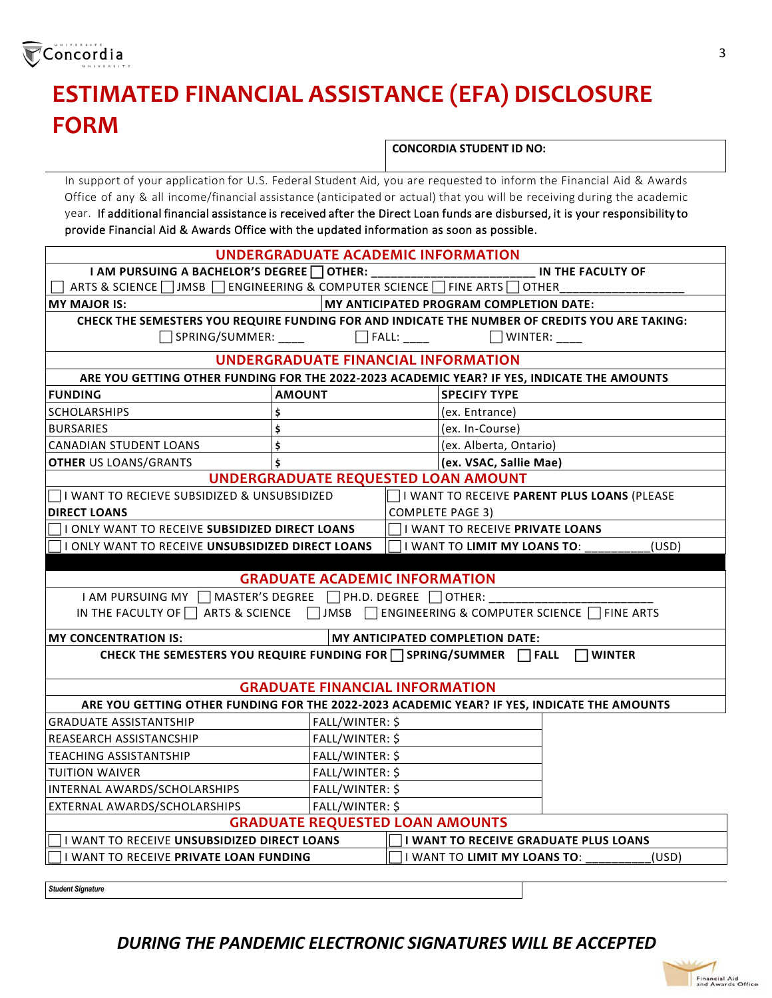

# **ESTIMATED FINANCIAL ASSISTANCE (EFA) DISCLOSURE FORM**

**CONCORDIA STUDENT ID NO:**

In support of your application for U.S. Federal Student Aid, you are requested to inform the Financial Aid & Awards Office of any & all income/financial assistance (anticipated or actual) that you will be receiving during the academic year. If additional financial assistance is received after the Direct Loan funds are disbursed, it is your responsibility to provide Financial Aid & Awards Office with the updated information as soon as possible.

|                                                                                                | <b>UNDERGRADUATE ACADEMIC INFORMATION</b>  |                 |                                              |                   |  |  |
|------------------------------------------------------------------------------------------------|--------------------------------------------|-----------------|----------------------------------------------|-------------------|--|--|
| I AM PURSUING A BACHELOR'S DEGREE IOTHER:                                                      |                                            |                 |                                              | IN THE FACULTY OF |  |  |
| ARTS & SCIENCE JIMSB GENGINEERING & COMPUTER SCIENCE TINE ARTS TOTHER                          |                                            |                 |                                              |                   |  |  |
| <b>MY MAJOR IS:</b>                                                                            | MY ANTICIPATED PROGRAM COMPLETION DATE:    |                 |                                              |                   |  |  |
| CHECK THE SEMESTERS YOU REQUIRE FUNDING FOR AND INDICATE THE NUMBER OF CREDITS YOU ARE TAKING: |                                            |                 |                                              |                   |  |  |
|                                                                                                |                                            | □ FALL: _____   | $\Box$ WINTER: ___                           |                   |  |  |
|                                                                                                | <b>UNDERGRADUATE FINANCIAL INFORMATION</b> |                 |                                              |                   |  |  |
| ARE YOU GETTING OTHER FUNDING FOR THE 2022-2023 ACADEMIC YEAR? IF YES, INDICATE THE AMOUNTS    |                                            |                 |                                              |                   |  |  |
| <b>FUNDING</b>                                                                                 | <b>AMOUNT</b>                              |                 | <b>SPECIFY TYPE</b>                          |                   |  |  |
| <b>SCHOLARSHIPS</b>                                                                            | \$                                         |                 |                                              | (ex. Entrance)    |  |  |
| <b>BURSARIES</b>                                                                               | \$                                         |                 | (ex. In-Course)                              |                   |  |  |
| <b>CANADIAN STUDENT LOANS</b>                                                                  | \$                                         |                 | (ex. Alberta, Ontario)                       |                   |  |  |
| <b>OTHER US LOANS/GRANTS</b>                                                                   | \$                                         |                 | (ex. VSAC, Sallie Mae)                       |                   |  |  |
|                                                                                                | UNDERGRADUATE REQUESTED LOAN AMOUNT        |                 |                                              |                   |  |  |
| I WANT TO RECIEVE SUBSIDIZED & UNSUBSIDIZED                                                    |                                            |                 | I WANT TO RECEIVE PARENT PLUS LOANS (PLEASE  |                   |  |  |
| <b>DIRECT LOANS</b>                                                                            |                                            |                 | <b>COMPLETE PAGE 3)</b>                      |                   |  |  |
| I ONLY WANT TO RECEIVE SUBSIDIZED DIRECT LOANS                                                 |                                            |                 | I I WANT TO RECEIVE PRIVATE LOANS            |                   |  |  |
| I ONLY WANT TO RECEIVE UNSUBSIDIZED DIRECT LOANS                                               |                                            |                 | I WANT TO <b>LIMIT MY LOANS TO</b> :         | (USD)             |  |  |
|                                                                                                |                                            |                 |                                              |                   |  |  |
|                                                                                                | <b>GRADUATE ACADEMIC INFORMATION</b>       |                 |                                              |                   |  |  |
| I AM PURSUING MY   MASTER'S DEGREE   PH.D. DEGREE   OTHER:                                     |                                            |                 |                                              |                   |  |  |
| IN THE FACULTY OF ARTS & SCIENCE JIMSB   ENGINEERING & COMPUTER SCIENCE   FINE ARTS            |                                            |                 |                                              |                   |  |  |
| <b>MY CONCENTRATION IS:</b>                                                                    |                                            |                 | MY ANTICIPATED COMPLETION DATE:              |                   |  |  |
| CHECK THE SEMESTERS YOU REQUIRE FUNDING FOR $\Box$ SPRING/SUMMER $\Box$ FALL                   |                                            |                 |                                              | <b>NINTER</b>     |  |  |
|                                                                                                |                                            |                 |                                              |                   |  |  |
|                                                                                                | <b>GRADUATE FINANCIAL INFORMATION</b>      |                 |                                              |                   |  |  |
| ARE YOU GETTING OTHER FUNDING FOR THE 2022-2023 ACADEMIC YEAR? IF YES, INDICATE THE AMOUNTS    |                                            |                 |                                              |                   |  |  |
| <b>GRADUATE ASSISTANTSHIP</b>                                                                  | FALL/WINTER: \$                            |                 |                                              |                   |  |  |
| REASEARCH ASSISTANCSHIP                                                                        | FALL/WINTER: \$                            |                 |                                              |                   |  |  |
| TEACHING ASSISTANTSHIP                                                                         |                                            | FALL/WINTER: \$ |                                              |                   |  |  |
| TUITION WAIVER                                                                                 |                                            | FALL/WINTER: \$ |                                              |                   |  |  |
| INTERNAL AWARDS/SCHOLARSHIPS                                                                   | FALL/WINTER: \$                            |                 |                                              |                   |  |  |
| EXTERNAL AWARDS/SCHOLARSHIPS                                                                   |                                            | FALL/WINTER: \$ |                                              |                   |  |  |
| <b>GRADUATE REQUESTED LOAN AMOUNTS</b>                                                         |                                            |                 |                                              |                   |  |  |
| I WANT TO RECEIVE UNSUBSIDIZED DIRECT LOANS                                                    |                                            |                 | $\Box$ I WANT TO RECEIVE GRADUATE PLUS LOANS |                   |  |  |
| I WANT TO RECEIVE PRIVATE LOAN FUNDING                                                         |                                            |                 | I WANT TO LIMIT MY LOANS TO:                 | (USD)             |  |  |
|                                                                                                |                                            |                 |                                              |                   |  |  |
| <b>Student Signature</b>                                                                       |                                            |                 |                                              |                   |  |  |

#### *DURING THE PANDEMIC ELECTRONIC SIGNATURES WILL BE ACCEPTED*

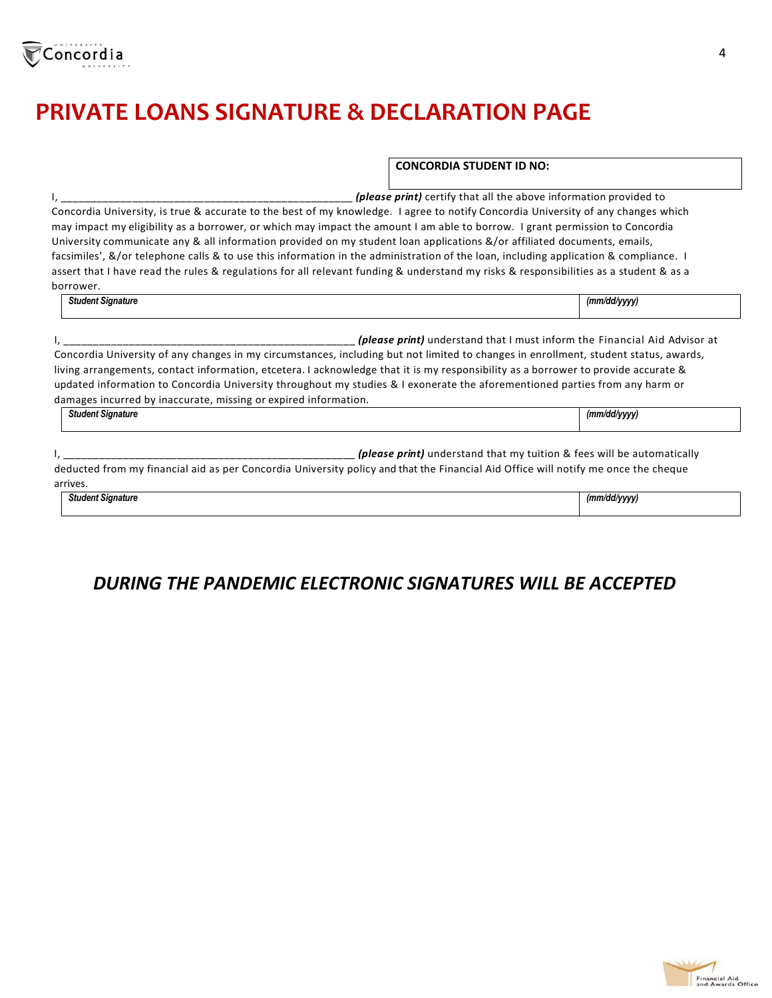## **PRIVATE LOANS SIGNATURE & DECLARATION PAGE**

**CONCORDIA STUDENT ID NO:**

I, \_\_\_\_\_\_\_\_\_\_\_\_\_\_\_\_\_\_\_\_\_\_\_\_\_\_\_\_\_\_\_\_\_\_\_\_\_\_\_\_\_\_\_\_\_\_\_\_\_ *(please print)* certify that all the above information provided to Concordia University, is true & accurate to the best of my knowledge. I agree to notify Concordia University of any changes which may impact my eligibility as a borrower, or which may impact the amount I am able to borrow. I grant permission to Concordia University communicate any & all information provided on my student loan applications &/or affiliated documents, emails, facsimiles', &/or telephone calls & to use this information in the administration of the loan, including application & compliance. I assert that I have read the rules & regulations for all relevant funding & understand my risks & responsibilities as a student & as a borrower.

| <b>Student Signature</b> | (mm/dd/yyyy) |
|--------------------------|--------------|
|--------------------------|--------------|

I, \_\_\_\_\_\_\_\_\_\_\_\_\_\_\_\_\_\_\_\_\_\_\_\_\_\_\_\_\_\_\_\_\_\_\_\_\_\_\_\_\_\_\_\_\_\_\_\_\_ *(please print)* understand that I must inform the Financial Aid Advisor at

Concordia University of any changes in my circumstances, including but not limited to changes in enrollment, student status, awards, living arrangements, contact information, etcetera. I acknowledge that it is my responsibility as a borrower to provide accurate & updated information to Concordia University throughout my studies & I exonerate the aforementioned parties from any harm or damages incurred by inaccurate, missing or expired information.

| <b>Student Signature</b> | (mm/dd/yyyy) |
|--------------------------|--------------|
|--------------------------|--------------|

I, \_\_\_\_\_\_\_\_\_\_\_\_\_\_\_\_\_\_\_\_\_\_\_\_\_\_\_\_\_\_\_\_\_\_\_\_\_\_\_\_\_\_\_\_\_\_\_\_\_ *(please print)* understand that my tuition & fees will be automatically

deducted from my financial aid as per Concordia University policy and that the Financial Aid Office will notify me once the cheque arrives.

*Student Signature (mm/dd/yyyy)*

#### *DURING THE PANDEMIC ELECTRONIC SIGNATURES WILL BE ACCEPTED*